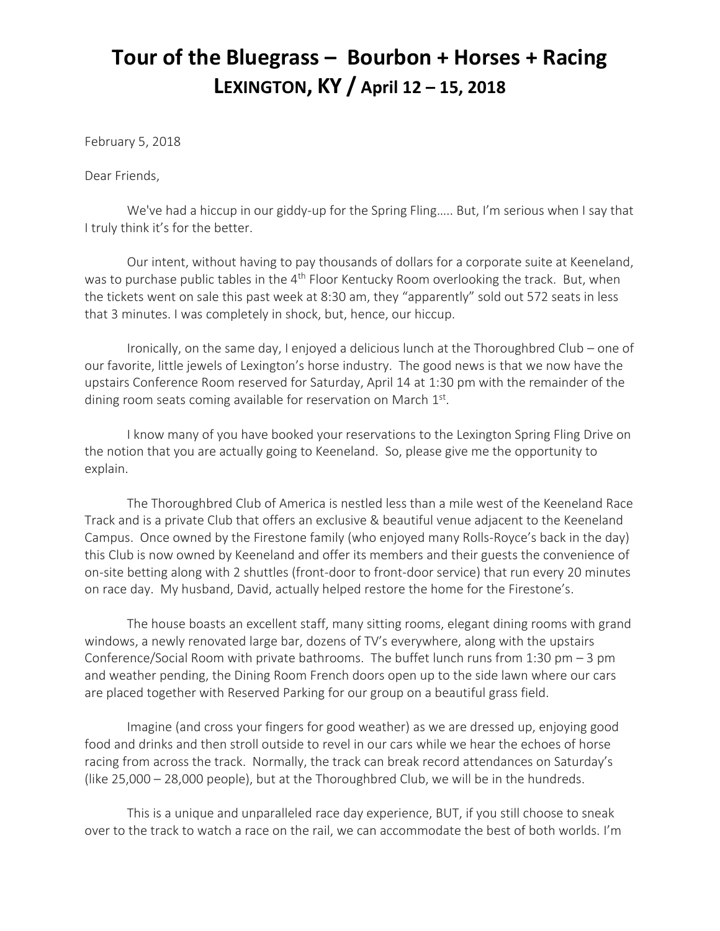## **Tour of the Bluegrass – Bourbon + Horses + Racing LEXINGTON, KY / April 12 – 15, 2018**

February 5, 2018

Dear Friends,

We've had a hiccup in our giddy-up for the Spring Fling….. But, I'm serious when I say that I truly think it's for the better.

Our intent, without having to pay thousands of dollars for a corporate suite at Keeneland, was to purchase public tables in the 4<sup>th</sup> Floor Kentucky Room overlooking the track. But, when the tickets went on sale this past week at 8:30 am, they "apparently" sold out 572 seats in less that 3 minutes. I was completely in shock, but, hence, our hiccup.

Ironically, on the same day, I enjoyed a delicious lunch at the Thoroughbred Club – one of our favorite, little jewels of Lexington's horse industry. The good news is that we now have the upstairs Conference Room reserved for Saturday, April 14 at 1:30 pm with the remainder of the dining room seats coming available for reservation on March 1st.

I know many of you have booked your reservations to the Lexington Spring Fling Drive on the notion that you are actually going to Keeneland. So, please give me the opportunity to explain.

The Thoroughbred Club of America is nestled less than a mile west of the Keeneland Race Track and is a private Club that offers an exclusive & beautiful venue adjacent to the Keeneland Campus. Once owned by the Firestone family (who enjoyed many Rolls-Royce's back in the day) this Club is now owned by Keeneland and offer its members and their guests the convenience of on-site betting along with 2 shuttles (front-door to front-door service) that run every 20 minutes on race day. My husband, David, actually helped restore the home for the Firestone's.

The house boasts an excellent staff, many sitting rooms, elegant dining rooms with grand windows, a newly renovated large bar, dozens of TV's everywhere, along with the upstairs Conference/Social Room with private bathrooms. The buffet lunch runs from 1:30 pm – 3 pm and weather pending, the Dining Room French doors open up to the side lawn where our cars are placed together with Reserved Parking for our group on a beautiful grass field.

Imagine (and cross your fingers for good weather) as we are dressed up, enjoying good food and drinks and then stroll outside to revel in our cars while we hear the echoes of horse racing from across the track. Normally, the track can break record attendances on Saturday's (like 25,000 – 28,000 people), but at the Thoroughbred Club, we will be in the hundreds.

This is a unique and unparalleled race day experience, BUT, if you still choose to sneak over to the track to watch a race on the rail, we can accommodate the best of both worlds. I'm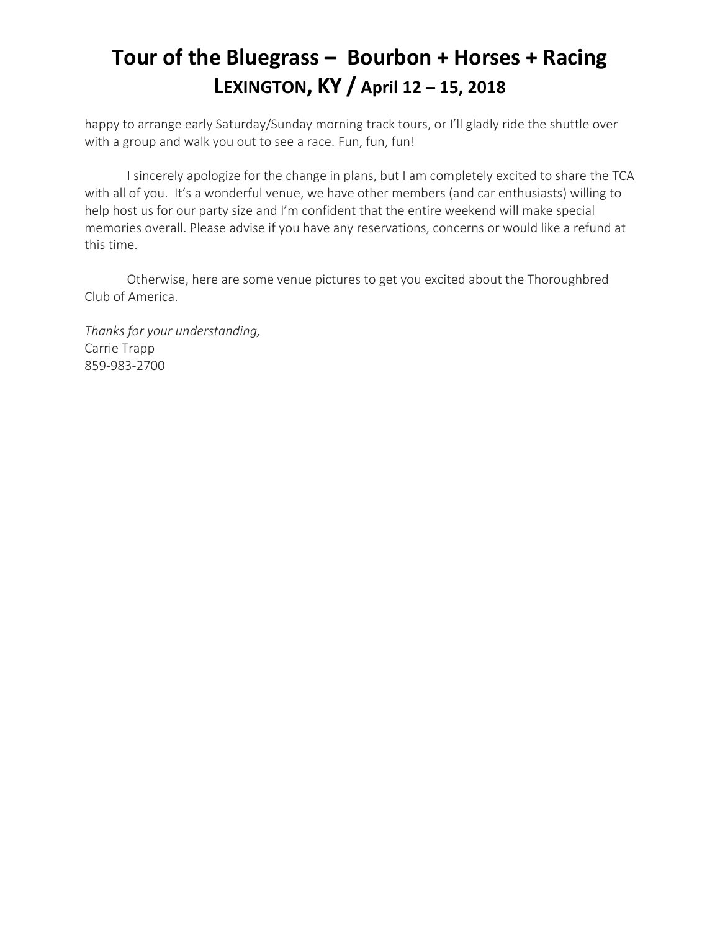## **Tour of the Bluegrass – Bourbon + Horses + Racing LEXINGTON, KY / April 12 – 15, 2018**

happy to arrange early Saturday/Sunday morning track tours, or I'll gladly ride the shuttle over with a group and walk you out to see a race. Fun, fun, fun!

I sincerely apologize for the change in plans, but I am completely excited to share the TCA with all of you. It's a wonderful venue, we have other members (and car enthusiasts) willing to help host us for our party size and I'm confident that the entire weekend will make special memories overall. Please advise if you have any reservations, concerns or would like a refund at this time.

Otherwise, here are some venue pictures to get you excited about the Thoroughbred Club of America.

*Thanks for your understanding,*  Carrie Trapp 859-983-2700